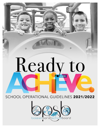# Ready to ACHIEVE. SCHOOL OPERATIONAL GUIDELINES 2021/2022

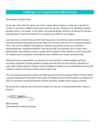# **A Message From Superintendent Mitch Downey**

*Dear Bossier Schools family,*

*As the start of the 2021-22 school year nears, it goes without saying our hope was to be back to "normal" or at least in a different place than where we are now. Though we are still facing a global pandemic that is, once again, on the uptick, rest assured Bossier Schools' commitment to provide a safe learning and work environment for our students and staff has not changed.*

*Last year was a success when you look at the big picture. Our schools reopened when the doors remained shuttered elsewhere across the nation and not once were any of our campuses forced to close. That can be credited to the diligence, creativity and tenacity shown by our teachers, paraprofessionals, custodial technicians, food service staff, bus operators and so many others determined to meet childrens' needs, coupled with the support of their families and this community. Our students are to be equally commended for their resilience and resolve amid adversity.*

*While there were rough patches, we learned a lot and will build on that knowledge and those successes as Bossier Schools prepares to swing open the doors for full in-person instruction for every child. Virtual instruction will also remain available for families not yet comfortable returning their children to school. Our focus is what is best for each child.*

*The accompanying document outlines the latest guidance from the Louisiana Office of Public Health, Louisiana Department of Education and Centers for Disease Control and Prevention and reflects the 2021-22 operational procedures Bossier Schools will follow. Updates will be made as needed.*

*We are excited to get the new school year started and, with your continued partnership, Ready to Achieve!*

Withhell And Downey

*Mitch Downey Superintendent of Bossier Schools*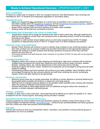# **Ready to Achieve! Operational Summary** - UPDATED AUGUST 2, 2021

#### **FACE COVERINGS**

Pursuant to a state order on August 2, 2021 by Louisiana Governor John Bel Edwards, face coverings are mandated for all K-12 students and employees regardless of vaccination status.

#### **TRANSPORTATION**

- Masks are required for ALL passengers on a school bus as specified in the Louisiana Department of Education (LDOE) 2021-22 [Operational](https://louisianabelieves.com/docs/default-source/ready-to-achieve/ready-to-achieve!-2021-2022-school-operational-guidelines.pdf?sfvrsn=737f6718_4) Guidelines and per [Presidential](https://www.federalregister.gov/documents/2021/01/26/2021-01859/promoting-covid-19-safety-in-domestic-and-international-travel) Executive Order No. 13998 for Promoting COVID-19 Safety in Domestic and International Travel.
- Buses will be sanitized daily and hand sanitizer and masks made available.
- Seating charts will be kept and consistently enforced.

#### **MONITORING AND SCREENING FOR COVID-19 SYMPTOMS**

- Temperature checks will no longer be required at the start of each school day, although students and staff are encouraged to monitor their own symptoms prior to attending school or work for the safety of themselves and others.
- *●* No student or staff member should attend school or work when experiencing COVID-19 related symptoms or experiencing a fever of 100.4 F or higher even if no other symptoms are present.

#### **POSITIVE COVID CASE RESPONSE**

- Bossier Parish Schools will continue to work to identify close contacts to any confirmed positive case so that close contacts can be properly notified and provided information for the appropriate response.
- Schools will continue to isolate students that develop symptoms during the school day until their parents can pick them up.
- Vaccinated students and staff deemed close contacts of a positive COVID-19 case will not be required to quarantine.

#### **CLEANING/DISINFECTION**

- Mitigation efforts will continue by daily cleaning and disinfecting. High-touch surfaces will be cleaned multiple times throughout the school day. Restrooms and other common areas (corridors, lobbies, libraries, meeting rooms, etc.) will be cleaned prior to the school day and by mid-day.
- Drinking fountains will remain closed. Students and employees are encouraged to bring personal water bottles for refilling.
- Handwashing stations and hand sanitizer will continue to be made available. Hand sanitation will be encouraged throughout the day among students and staff when entering the school, exchanging classes, before and after eating and as appropriate.

#### **PHYSICAL DISTANCING**

- Maximum group sizes are no longer prescribed, but efforts to remain attentive to physical distancing to the greatest extent possible will continue in classrooms and large spaces.
- Staff will work to maintain physical distance to the greatest extent possible when working with students within the context of effective instructional practices.
- Schools will be able to utilize large spaces such as cafeterias and gyms without the necessity of barriers or dividers between individual groups.

#### **VIRTUAL LEARNING**

In addition to daily, face to face instruction, virtual learning will be offered as an option for grades K-12. Upon acceptance into the virtual program, technology will be provided if needed.

#### **INDOOR/OUTDOOR SPECTATOR PROTOCOLS**

Capacity guidance for school-related events and spectator capacity for athletic events will be found on the Louisiana State Fire Marshal website, [opensafely.la.gov](http://opensafely.la.gov/). Extracurricular activities/athletics will follow guidance from the LHSAA and other best practice recommendations.

#### **VISITORS**

Schools will continue to limit any nonessential visitors, volunteers, and activities involving external groups or organizations as much as possible.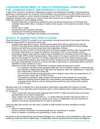# **LOUISIANA DEPARTMENT OF HEALTH OPERATIONAL GUIDELINES FOR LOUISIANA PUBLIC AND NONPUBLIC SCHOOLS**

In light of the Governor's Roadmap to Restarting Louisiana, the Department of Health is issuing guidance pertaining to opening public and nonpublic school facilities to serve students in the 2021-2022 school year. *This guidance is based on current medical knowledge of how COVID-19 is transmitted through exposure to respiratory droplets when a person is in close contact with someone who is infected.*

Protective measures in school settings include:

- Physical distancing is achieved by establishing and maintaining small groups of individuals that minimally interact with others, including in shared indoor spaces, for the maximum number of days possible.
- Correct use of masks
- Handwashing and respiratory etiquette
- Cleaning and maintaining healthy facilities
- Contact tracing in combination with isolation and quarantine

# **SCHOOL PLANNING FOR COVID-19 CASES**

Given the levels of COVID-19 currently in our communities, schools should plan for and expect that some students will get COVID-19 during the school year.

- As part of their planning to reopen, schools should expect there will be students who contract COVID-19 and that those students will possibly expose other students/staff in the school setting. Students and staff who are sick should stay home regardless of illness.
- Students who have COVID-19 should stay home and remain isolated until they have recovered and have been determined to no longer be infectious according to CDC's end of isolation criteria.
- Individuals in close contact with the student may be identified and contacted as part of the Office of Public Health (OPH) contact tracing process. Close contact of a case is a person who was within six feet from the student for more than 15 minutes, determined by the OPH contact tracing process.
- Close contacts will be asked to stay home and monitor symptoms for the determined quarantine period.
- Not every student/faculty member in a school will need to stay home for a prescribed period, just those identified as close contacts to a case.
- Options to shorten the duration of quarantine if contacts remain asymptomatic include:
	- If no symptoms develop during quarantine AND they have a negative antigen or PCR/molecular test collected no earlier than day 5 after their last exposure: they may quarantine for 7 days from last contact with a COVID-19 case OR
	- If no symptoms develop during quarantine and no testing is done, they may quarantine for 10 days from last contact with a COVID-19 case.
	- If quarantine is shortened, daily symptom monitoring and strict adherence to prevention measures including physical distancing, hand washing, and especially wearing masks/face coverings should continue until the full quarantine period from last contact with a positive COVID-19 case.

Because there is an increased risk of post-quarantine transmission associated with options to shorten quarantine, the 14-day quarantine period should be used in school settings where masking among children is not maintained.

- Close contacts who were previously diagnosed with COVID-19 within the last 90 days and remain asymptomatic do not need to quarantine.
- Close contacts who are fully vaccinated (i.e.,  $\geq 2$  weeks following receipt of the second dose in a 2-dose series, or ≥ 2 weeks following receipt of one dose in a single-dose vaccine) at the time of exposure and remain asymptomatic do not need to quarantine.

There are steps that schools can take when a student or staff member has been identified as having COVID-19.

- Plans for routine cleaning
- Ensure continuity of education for students/staff who are quarantined or isolated
- Plans for isolation of positives and quarantining of close contacts

All decisions about implementing school-based strategies (e.g., dismissals, event cancellations, other social distancing measures) will be made locally, in collaboration with the Superintendent/Principal and Regional

*\*This document is provisional and subject to change based on available CDC recommendations.[www.bossierschools.org](http://www.bossierschools.org)*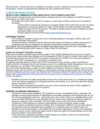Medical Director. Factors that will be considered in closing a school or classroom will be the level of community transmission, number of students/faculty affected and risk of spread at the school.

# **SYMPTOM MONITORING**

## **DEVELOP AND COMMUNICATE WELLNESS POLICY FOR STUDENTS AND STAFF**

*School systems should develop and communicate a wellness policy for both students and staff that requires sick students and staff to stay home.*

- Individuals who have a fever of 100.4°F or above, or other signs of illness, should not be admitted to the facility.
	- Communicate to parents the importance of keeping children home when they are sick, the steps being taken to ensure the health and safety of their children and other important information related to limiting COVID-19 exposure. The letter to families should outline all health and safety precautions taken by your facility.
	- Another sample can be found from [https://www.childcareaware.org/.](https://www.childcareaware.org/)

## **SCREENING TESTING**

- CDC funding is available to support the use of screening testing as a strategy to identify cases and prevent secondary transmission.
- Screening testing is intended to identify infected people without symptoms (or before development of symptoms) who may be contagious so measures can be taken to prevent further transmission.

IMPLEMENT ISOLATION MEASURES IF A STUDENT BECOMES SICK, FOLLOW WITH CLEANING AND DISINFECTING PROCESSES AND CONSULT PUBLIC HEALTH OFFICIALS

## **Isolate and Transport Those Who are Sick**

Make sure that staff and families know that they (staff) or their children (families) should not come to school, and that they should notify school officials (e.g. the designated COVID-19 point of contact) if they (staff) or their child (families) become sick with COVID-19 symptoms, test positive for COVID-19 or have been exposed to someone with COVID-19 symptoms or a confirmed or suspected case.

Immediately separate staff and children with COVID-19 symptoms (such as fever, cough or shortness of breath) at school. Individuals who are sick should go home or to a healthcare facility, depending on how severe their symptoms are, and follow CDC guidance for caring for oneself and others who are sick.

Work with school administrators, nurses and other healthcare providers to identify an isolation room or area to separate anyone who has COVID-19 symptoms or tests positive but does not have symptoms. School nurses and other healthcare providers should use Standard and Transmission-Based Precautions when caring for sick people. See: What [Healthcare](https://www.cdc.gov/coronavirus/2019-ncov/hcp/caring-for-patients-H.pdf) Personnel Should Know About Caring for Patients with Confirmed or Possible [COVID-19](https://www.cdc.gov/coronavirus/2019-ncov/hcp/caring-for-patients-H.pdf) Infection.

- Establish procedures for safely transporting anyone who is sick to their home or to a healthcare facility. If you are calling an ambulance or bringing someone to the hospital, try to call first to alert them that the person may have COVID-19.
- Provide a letter of assurance that schools can use to ensure parents are aware of their obligation to immediately pick up sick students from campus.

## **ADDRESS VULNERABLE INDIVIDUALS**

- Pursuant to current school reopening CDC guidelines, limit any nonessential visitors, volunteers and activities involving external groups or organizations as possible, especially with individuals who are not from the local geographic area (e.g., community, town, city, county). There is no validated data on how much risk these individuals incur by attending school in person and individuals will need to make the decision to attend in close consultation with their health care provider and school administrator. Furthermore, OSHA statutes on employer responsibilities during a pandemic remain unclear.
- School workers are defined as being at "medium risk" of exposure to SARS-CoV-2 and while schools are required to provide reasonable accommodation for a workplace safe from health threats, the definition of that accommodation in this setting has not yet been adjudicated. Schools and employees should continue to work closely with legal counsel to determine rights and responsibilities as this area becomes clearer in the months ahead.
- In the event that a significant proportion of staff members are unable to return to the school facility, consider developing an innovative staffing plan.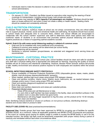Individuals need to make the decision to attend in close consultation with their health care provider and school administrators.

# **TRANSPORTATION**

- On January 21, 2021, President Joe Biden issued an executive order requiring the wearing of facial coverings on transportation, including school buses, both private and public.
- School buses may operate at **100% capacity if all passengers are masked**. Windows should be kept open on buses without A/C and when it does not create a safety or health hazard. Seating charts should be created and consistently enforced.

# **CHILD NUTRITION PROGRAM**

For Bossier Parish students, nutritious meals at school are not simply conveniences; they are critical safety nets to support physical, mental, social and emotional health and well-being. All students should have access to school meals and adequate time to consume them. District and school officials are encouraged to collaborate with the school nutrition supervisor and staff to determine which meal options best meet the nutritional needs of students in an environment that promotes optimal physical distancing and personal hygiene practices as a means of supporting optimal academic success.

## **Hybrid: Grab & Go with some social distancing seating in cafeteria & common areas**

- **●** Grab and Go for breakfast with more traditional lunch procedures.
- Cafeteria & common area seating will be determined per school facility.
- Social distancing will be required.
- Sanitizing is required between groups/classes, so extended and staggered lunch serving times are recommended.

# **MAINTENANCE - CUSTODIAL PRACTICE**

As the district prepares for the 2021-2022 school year, school facilities should be clean and safe for students and staff with a physical setting that is appropriate and adequate for learning. Improving the quality of school facilities will be an arduous and intentional undertaking. However, Bossier Parish Schools' actions will provide a safe, healthy environment and advance positive impacts for both employees and students within the school facility.

## **SCHOOL INFECTIOUS DISEASE SAFETY PROTOCOLS**

- Ensure availability of Personal Protective Equipment (PPE) (disposable gloves, wipes, masks, plastic shields, dual all-purpose cleaners/disinfectants, sprayers)
- When needed, sanitize high touch areas using proper PPE between classes.
- Clean and sanitize corridors, interior doors, exterior doors, bathrooms, etc. as needed between class changes and/or every 2 hours using proper PPE and sanitizer.
- Clean and sanitize playground equipment as needed.
- End of day cleanout
- Deep clean and sanitize classrooms and areas per custodial policies.
- Presumed infected areas:
	- Close off the area and call Maintenance to help.
	- $\circ$  If a sick child or staff member has been isolated in the facility, clean and disinfect surfaces in the isolation room or area after he/she has gone home.
	- Maintenance will bring fogger equipment to fog the area. Let the product sit for 10-30 minutes, then clean and disinfect.

*Note: Sanitizing reduces bacteria or viruses on surfaces; on non-porous surfaces, disinfecting destroys bacteria and viruses listed on product's label*

## **FACILITY USE (COVID-19)** (best practices/recommendations)

*Approved Use:* Outside groups that have been approved by BPSB for on-going use of facilities for specific activities should, as a minimum, follow all applicable guidelines and BPSB COVID-19 protocols and practices. In the event an outside group paying for weekly usage is unable to access the BPSB facility or use it for the intended function, the facility use fees could be temporarily suspended (with proper notice) during a period of inactivity and reinstated without fault when circumstances allow.

*\*This document is provisional and subject to change based on available CDC recommendations.[www.bossierschools.org](http://www.bossierschools.org)*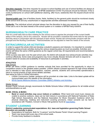*One-time requests:* One-time requests for access to school facilities and use of school facilities are always at the discretion of the individual principal. All BPSB established COVID-19 protocols should be followed. If this is overly burdensome on school staff (additional cleaning, after hours, weekends) then the request should not be granted.

*General public use:* Use of facilities (tracks, fields, facilities) by the general public should be monitored closely at the school level and any unauthorized or inappropriate activities addressed immediately.

*Authority:* The individual school principal always has the discretion to deny any request for use of their facility if that use is not in the best interest of the school system or in violation of BPSB Policy KA/KFA.

# **NURSING/HEALTH CARE PRACTICE**

Plan for a brief daily face-to-face meeting for the school nurse to apprise the principal of the current health status of the campus, and to be a resource. Nurses will be provided a schedule that works best for the schools that they serve in conjunction with the principal of each school. Nurses will communicate concerns with the principal and the Nursing Coordinator. Plans/schedules can be adjusted to meet the needs of the schools.

# **EXTRACURRICULAR ACTIVITIES**

In order to support the whole child and develop a student's passions and interests, it is important to consider maintaining extracurricular activities during the various reopening plans as much as possible. Activities and events will follow the same LHSAA guidance as the regular school day. All requirements and recommendations will still apply.

While success was seen over the past school year, the district will evaluate how extracurricular activities may continue effectively. Some clubs and programs may move virtually. Bossier Schools will work to respond to student needs for access and availability of resources to participate in activities.

## **ATHLETICS**

High School:

BPSB will follow LHSAA guidance to member schools that have provided for the opportunity to return to competitive events to the greatest extent possible. LHSAA utilized a phased approach for high school athletes and is intended to help school administrators, coaches, parents, students and communities operationalize a return to normal practice of high school athletic activities.

See below for links to LHSAA information:

- [LHSAA](https://drive.google.com/file/d/1SZxGj0WTB9H_cMLfYfk6HGjtR7kjrmK-/view?usp=sharing) Coronavirus Update: quidance will be provided at a later date. Links to the latest update will be communicated upon the release of the information.
- NFHS Sports Medicine Advisory [Committee](https://www.nfhs.org/sports-resource-content/nfhs-sports-medicine-position-statements-and-guidelines/) (SMAC) Athletics and Activities

## Middle School:

Bossier Parish Schools strongly recommends its Middle Schools follow LHSAA guidance for all middle school activities/athletics as well.

## **BAND, VOCAL & MUSIC:**

● **Band or vocal activities** *may occur indoors or outdoors*. When band and vocal music classes are unable to practice outdoors, class can be held indoors in accordance with National Federation of State High School Associations and the National Association for Music Education Guidance which has physical distancing, masking and instrument covering provisions. Indoor concerts can be held in accordance with Theaters, Concert or Music Hall guidance found at [OpenSafely.](https://opensafely.la.gov/)

# **STUDENT LEARNING**

**District Leadership communicated expectations: ALL laws and legislation governing Public School Education are soundly in place.**

- Expectations for teachers: Both for "in-person" and the Bossier Parish Virtual Learning Program
- Teach new lesson/skill every day of the school week.
- Provide timely feedback to students